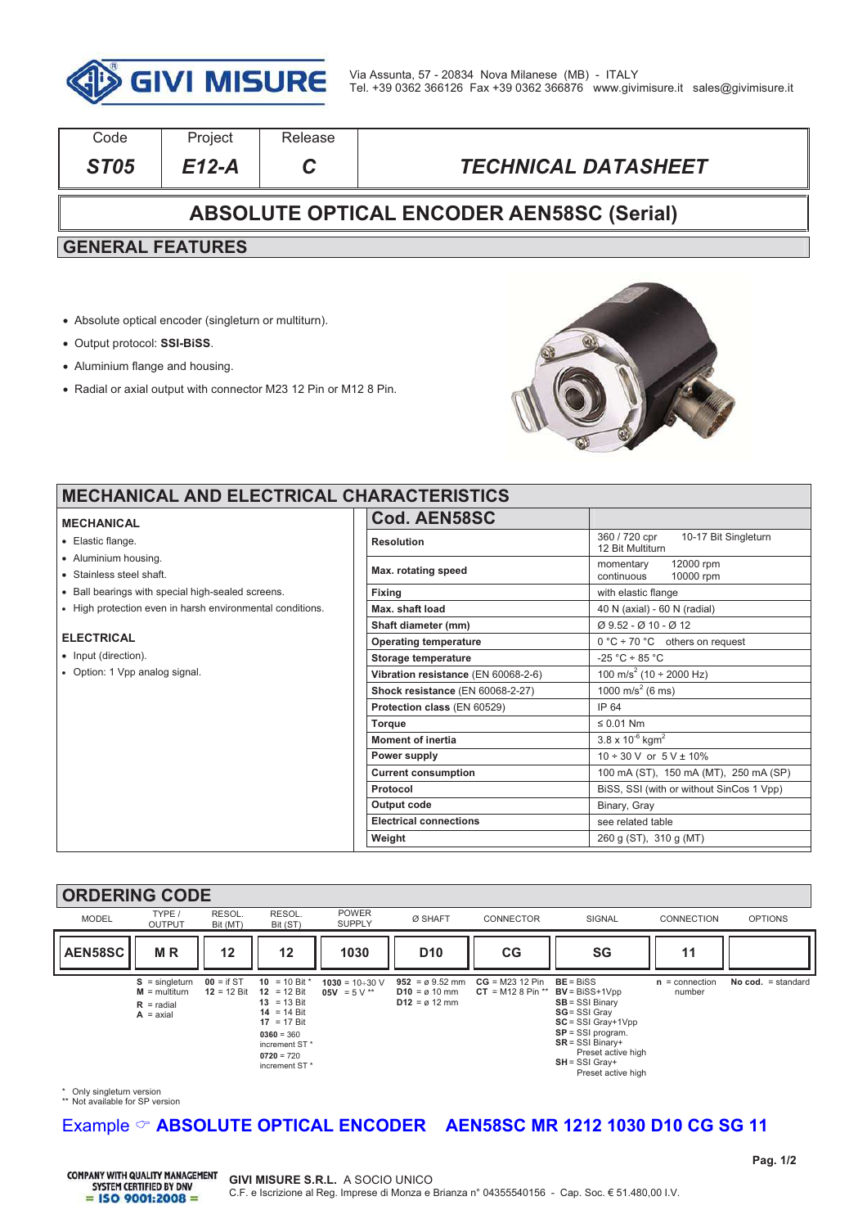

| Code                                             | Project | Release |                            |  |  |  |  |
|--------------------------------------------------|---------|---------|----------------------------|--|--|--|--|
| ST <sub>05</sub>                                 | E12-A   |         | <b>TECHNICAL DATASHEET</b> |  |  |  |  |
| <b>ABSOLUTE OPTICAL ENCODER AEN58SC (Serial)</b> |         |         |                            |  |  |  |  |
| <b>GENERAL FEATURES</b>                          |         |         |                            |  |  |  |  |
|                                                  |         |         |                            |  |  |  |  |

- ! Absolute optical encoder (singleturn or multiturn).
- ! Output protocol: **SSI-BiSS**.
- Aluminium flange and housing.
- ! Radial or axial output with connector M23 12 Pin or M12 8 Pin.



٦

### **MECHANICAL AND ELECTRICAL O**

#### **MECHANICAL**

- Elastic flange.
- . Aluminium housing.
- . Stainless steel shaft.
- . Ball bearings with special high-sealed screens.
- . High protection even in harsh environmental conditions.

#### **ELECTRICAL**

- Input (direction).
- Option: 1 Vpp analog signal.

| CHARACTERISTICS                     |                                                          |  |  |  |
|-------------------------------------|----------------------------------------------------------|--|--|--|
| Cod. AEN58SC                        |                                                          |  |  |  |
| <b>Resolution</b>                   | 360 / 720 cpr   10-17 Bit Singleturn<br>12 Bit Multiturn |  |  |  |
| Max. rotating speed                 | 12000 rpm<br>momentary<br>continuous<br>10000 rpm        |  |  |  |
| Fixing                              | with elastic flange                                      |  |  |  |
| Max. shaft load                     | 40 N (axial) - 60 N (radial)                             |  |  |  |
| Shaft diameter (mm)                 | Ø 9.52 - Ø 10 - Ø 12                                     |  |  |  |
| <b>Operating temperature</b>        | $0 °C$ ÷ 70 °C others on request                         |  |  |  |
| Storage temperature                 | $-25 °C \div 85 °C$                                      |  |  |  |
| Vibration resistance (EN 60068-2-6) | 100 m/s <sup>2</sup> (10 ÷ 2000 Hz)                      |  |  |  |
| Shock resistance (EN 60068-2-27)    | 1000 m/s <sup>2</sup> (6 ms)                             |  |  |  |
| Protection class (EN 60529)         | IP 64                                                    |  |  |  |
| <b>Torque</b>                       | $\leq 0.01$ Nm                                           |  |  |  |
| <b>Moment of inertia</b>            | $3.8 \times 10^{-6}$ kgm <sup>2</sup>                    |  |  |  |
| Power supply                        | $10 \div 30$ V or $5$ V $\pm$ 10%                        |  |  |  |
| <b>Current consumption</b>          | 100 mA (ST), 150 mA (MT), 250 mA (SP)                    |  |  |  |
| Protocol                            | BISS, SSI (with or without SinCos 1 Vpp)                 |  |  |  |
| Output code                         | Binary, Gray                                             |  |  |  |
| <b>Electrical connections</b>       | see related table                                        |  |  |  |
| Weight                              | 260 g (ST), 310 g (MT)                                   |  |  |  |
|                                     |                                                          |  |  |  |

#### **ORDERING CODE**



\* Only singleturn version \*\* Not available for SP version

## Example  $\heartsuit$  **ABSOLUTE OPTICAL ENCODER** AEN58SC MR 1212 1030 D10 CG SG 11

**COMPANY WITH QUALITY MANAGEMENT** SYSTEM CERTIFIED BY DNV  $=$  ISO 9001:2008 =